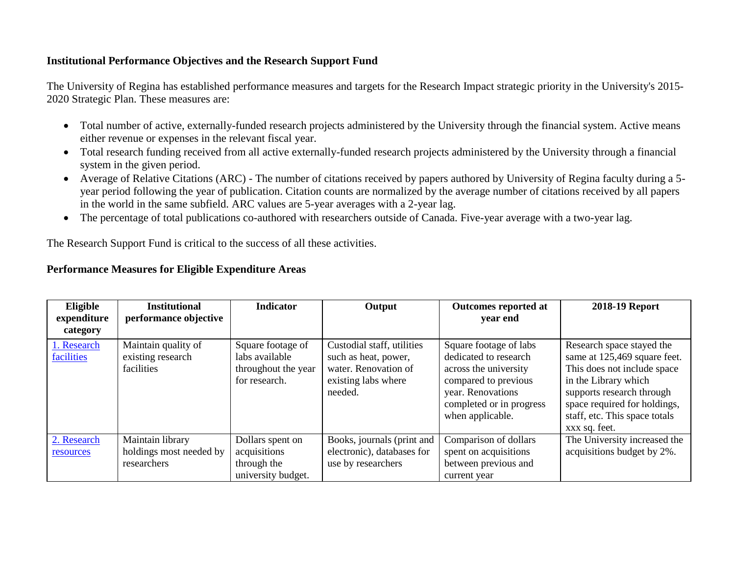## **Institutional Performance Objectives and the Research Support Fund**

The University of Regina has established performance measures and targets for the Research Impact strategic priority in the University's 2015- 2020 Strategic Plan. These measures are:

- Total number of active, externally-funded research projects administered by the University through the financial system. Active means either revenue or expenses in the relevant fiscal year.
- Total research funding received from all active externally-funded research projects administered by the University through a financial system in the given period.
- Average of Relative Citations (ARC) The number of citations received by papers authored by University of Regina faculty during a 5 year period following the year of publication. Citation counts are normalized by the average number of citations received by all papers in the world in the same subfield. ARC values are 5-year averages with a 2-year lag.
- The percentage of total publications co-authored with researchers outside of Canada. Five-year average with a two-year lag.

The Research Support Fund is critical to the success of all these activities.

## **Performance Measures for Eligible Expenditure Areas**

| Eligible                  | <b>Institutional</b>                                       | <b>Indicator</b>                                                            | Output                                                                                                       | <b>Outcomes reported at</b>                                                                                                                                           | 2018-19 Report                                                                                                                                                                                                                  |
|---------------------------|------------------------------------------------------------|-----------------------------------------------------------------------------|--------------------------------------------------------------------------------------------------------------|-----------------------------------------------------------------------------------------------------------------------------------------------------------------------|---------------------------------------------------------------------------------------------------------------------------------------------------------------------------------------------------------------------------------|
| expenditure<br>category   | performance objective                                      |                                                                             |                                                                                                              | vear end                                                                                                                                                              |                                                                                                                                                                                                                                 |
| 1. Research<br>facilities | Maintain quality of<br>existing research<br>facilities     | Square footage of<br>labs available<br>throughout the year<br>for research. | Custodial staff, utilities<br>such as heat, power,<br>water. Renovation of<br>existing labs where<br>needed. | Square footage of labs<br>dedicated to research<br>across the university<br>compared to previous<br>year. Renovations<br>completed or in progress<br>when applicable. | Research space stayed the<br>same at 125,469 square feet.<br>This does not include space<br>in the Library which<br>supports research through<br>space required for holdings,<br>staff, etc. This space totals<br>xxx sq. feet. |
| 2. Research<br>resources  | Maintain library<br>holdings most needed by<br>researchers | Dollars spent on<br>acquisitions<br>through the<br>university budget.       | Books, journals (print and<br>electronic), databases for<br>use by researchers                               | Comparison of dollars<br>spent on acquisitions<br>between previous and<br>current year                                                                                | The University increased the<br>acquisitions budget by 2%.                                                                                                                                                                      |